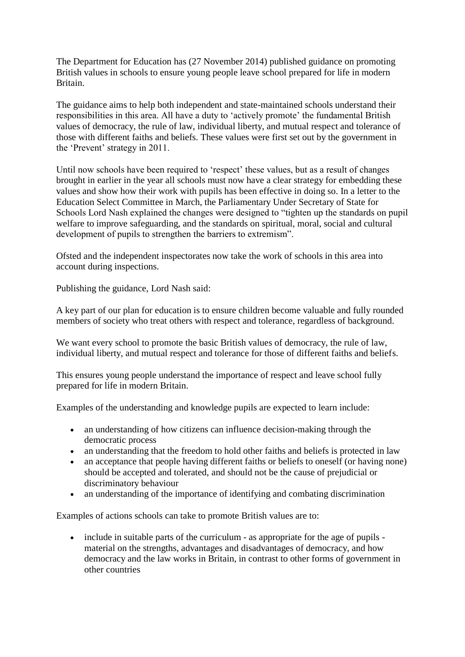The Department for Education has (27 November 2014) published guidance on promoting British values in schools to ensure young people leave school prepared for life in modern Britain.

The guidance aims to help both independent and state-maintained schools understand their responsibilities in this area. All have a duty to 'actively promote' the fundamental British values of democracy, the rule of law, individual liberty, and mutual respect and tolerance of those with different faiths and beliefs. These values were first set out by the government in the 'Prevent' strategy in 2011.

Until now schools have been required to 'respect' these values, but as a result of changes brought in earlier in the year all schools must now have a clear strategy for embedding these values and show how their work with pupils has been effective in doing so. In a letter to the Education Select Committee in March, the Parliamentary Under Secretary of State for Schools Lord Nash explained the changes were designed to "tighten up the standards on pupil welfare to improve safeguarding, and the standards on spiritual, moral, social and cultural development of pupils to strengthen the barriers to extremism".

Ofsted and the independent inspectorates now take the work of schools in this area into account during inspections.

Publishing the guidance, Lord Nash said:

A key part of our plan for education is to ensure children become valuable and fully rounded members of society who treat others with respect and tolerance, regardless of background.

We want every school to promote the basic British values of democracy, the rule of law, individual liberty, and mutual respect and tolerance for those of different faiths and beliefs.

This ensures young people understand the importance of respect and leave school fully prepared for life in modern Britain.

Examples of the understanding and knowledge pupils are expected to learn include:

- an understanding of how citizens can influence decision-making through the democratic process
- an understanding that the freedom to hold other faiths and beliefs is protected in law
- an acceptance that people having different faiths or beliefs to oneself (or having none) should be accepted and tolerated, and should not be the cause of prejudicial or discriminatory behaviour
- an understanding of the importance of identifying and combating discrimination

Examples of actions schools can take to promote British values are to:

• include in suitable parts of the curriculum - as appropriate for the age of pupils material on the strengths, advantages and disadvantages of democracy, and how democracy and the law works in Britain, in contrast to other forms of government in other countries